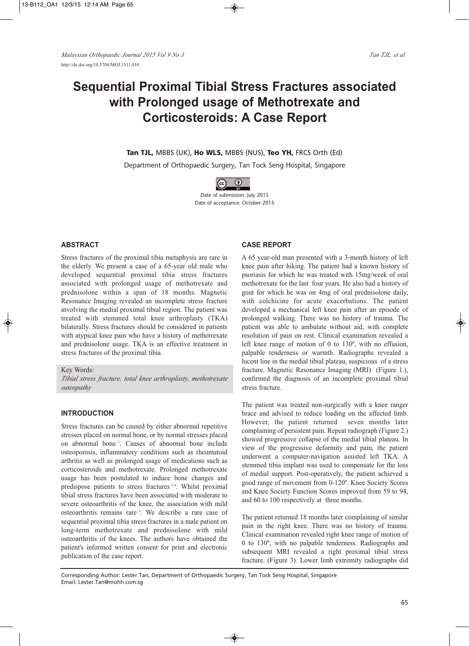# **Sequential Proximal Tibial Stress Fractures associated with Prolonged usage of Methotrexate and Corticosteroids: A Case Report**

**Tan TJL,** MBBS (UK), **Ho WLS,** MBBS (NUS), **Teo YH,** FRCS Orth (Ed)

Department of Orthopaedic Surgery, Tan Tock Seng Hospital, Singapore



### **ABSTRACT**

Stress fractures of the proximal tibia metaphysis are rare in the elderly. We present a case of a 65-year old male who developed sequential proximal tibia stress fractures associated with prolonged usage of methotrexate and prednisolone within a span of 18 months. Magnetic Resonance Imaging revealed an incomplete stress fracture involving the medial proximal tibial region. The patient was treated with stemmed total knee arthroplasty (TKA) bilaterally. Stress fractures should be considered in patients with atypical knee pain who have a history of methotrexate and prednisolone usage. TKA is an effective treatment in stress fractures of the proximal tibia.

#### Key Words:

*Tibial stress fracture, total knee arthroplasty, methotrexate osteopathy*

#### **INTRODUCTION**

Stress fractures can be caused by either abnormal repetitive stresses placed on normal bone, or by normal stresses placed on abnormal bone <sup>1</sup> . Causes of abnormal bone include osteoporosis, inflammatory conditions such as rheumatoid arthritis as well as prolonged usage of medications such as corticosteroids and methotrexate. Prolonged methotrexate usage has been postulated to induce bone changes and predispose patients to stress fractures 2-4 . Whilst proximal tibial stress fractures have been associated with moderate to severe osteoarthritis of the knee, the association with mild osteoarthritis remains rare <sup>5</sup> . We describe a rare case of sequential proximal tibia stress fractures in a male patient on long-term methotrexate and prednisolone with mild osteoarthritis of the knees. The authors have obtained the patient's informed written consent for print and electronic publication of the case report.

#### **CASE REPORT**

A 65 year-old man presented with a 3-month history of left knee pain after hiking. The patient had a known history of psoriasis for which he was treated with 15mg/week of oral methotrexate for the last four years. He also had a history of gout for which he was on 4mg of oral prednisolone daily, with colchicine for acute exacerbations. The patient developed a mechanical left knee pain after an episode of prolonged walking. There was no history of trauma. The patient was able to ambulate without aid, with complete resolution of pain on rest. Clinical examination revealed a left knee range of motion of 0 to 130º, with no effusion, palpable tenderness or warmth. Radiographs revealed a lucent line in the medial tibial plateau, suspicious of a stress fracture. Magnetic Resonance Imaging (MRI) (Figure 1.), confirmed the diagnosis of an incomplete proximal tibial stress fracture.

The patient was treated non-surgically with a knee ranger brace and advised to reduce loading on the affected limb. However, the patient returned seven months later complaining of persistent pain. Repeat radiograph (Figure 2.) showed progressive collapse of the medial tibial plateau. In view of the progressive deformity and pain, the patient underwent a computer-navigation assisted left TKA. A stemmed tibia implant was used to compensate for the loss of medial support. Post-operatively, the patient achieved a good range of movement from 0-120º. Knee Society Scores and Knee Society Function Scores improved from 59 to 94, and 60 to 100 respectively at three months.

The patient returned 18 months later complaining of similar pain in the right knee. There was no history of trauma. Clinical examination revealed right knee range of motion of 0 to 130º, with no palpable tenderness. Radiographs and subsequent MRI revealed a right proximal tibial stress fracture. (Figure 3). Lower limb extremity radiographs did

Corresponding Author: Lester Tan, Department of Orthopaedic Surgery, Tan Tock Seng Hospital, Singapore Email: Lester.Tan@mohh.com.sg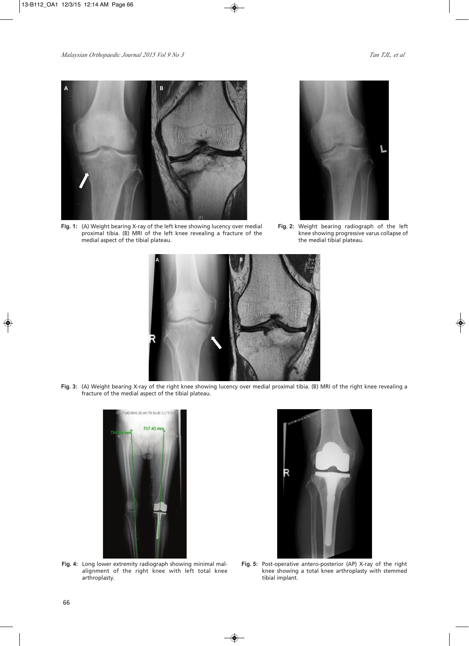

**Fig. 1:** (A) Weight bearing X-ray of the left knee showing lucency over medial proximal tibia. (B) MRI of the left knee revealing a fracture of the medial aspect of the tibial plateau.



**Fig. 2:** Weight bearing radiograph of the left knee showing progressive varus collapse of the medial tibial plateau.



**Fig. 3:** (A) Weight bearing X-ray of the right knee showing lucency over medial proximal tibia. (B) MRI of the right knee revealing a fracture of the medial aspect of the tibial plateau.



**Fig. 4:** Long lower extremity radiograph showing minimal malalignment of the right knee with left total knee arthroplasty.



**Fig. 5:** Post-operative antero-posterior (AP) X-ray of the right knee showing a total knee arthroplasty with stemmed tibial implant.